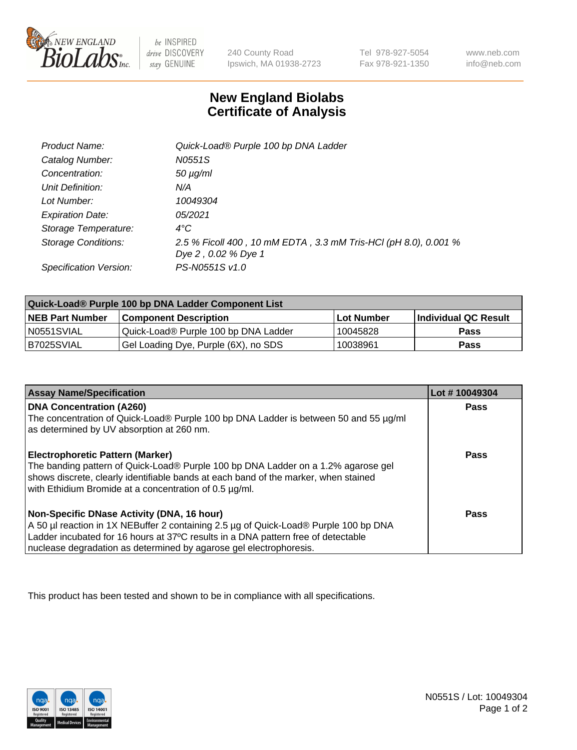

 $be$  INSPIRED drive DISCOVERY stay GENUINE

240 County Road Ipswich, MA 01938-2723 Tel 978-927-5054 Fax 978-921-1350

www.neb.com info@neb.com

## **New England Biolabs Certificate of Analysis**

| Product Name:              | Quick-Load® Purple 100 bp DNA Ladder                                                   |
|----------------------------|----------------------------------------------------------------------------------------|
| Catalog Number:            | N0551S                                                                                 |
| Concentration:             | $50 \mu g/ml$                                                                          |
| Unit Definition:           | N/A                                                                                    |
| Lot Number:                | 10049304                                                                               |
| <b>Expiration Date:</b>    | 05/2021                                                                                |
| Storage Temperature:       | $4^{\circ}$ C                                                                          |
| <b>Storage Conditions:</b> | 2.5 % Ficoll 400, 10 mM EDTA, 3.3 mM Tris-HCl (pH 8.0), 0.001 %<br>Dye 2, 0.02 % Dye 1 |
| Specification Version:     | PS-N0551S v1.0                                                                         |

| Quick-Load® Purple 100 bp DNA Ladder Component List |                                      |                   |                      |  |
|-----------------------------------------------------|--------------------------------------|-------------------|----------------------|--|
| <b>NEB Part Number</b>                              | <b>Component Description</b>         | <b>Lot Number</b> | Individual QC Result |  |
| N0551SVIAL                                          | Quick-Load® Purple 100 bp DNA Ladder | 10045828          | <b>Pass</b>          |  |
| I B7025SVIAL                                        | Gel Loading Dye, Purple (6X), no SDS | 10038961          | <b>Pass</b>          |  |

| <b>Assay Name/Specification</b>                                                                                                                                                                                                                                                               | Lot #10049304 |
|-----------------------------------------------------------------------------------------------------------------------------------------------------------------------------------------------------------------------------------------------------------------------------------------------|---------------|
| <b>DNA Concentration (A260)</b><br>The concentration of Quick-Load® Purple 100 bp DNA Ladder is between 50 and 55 µg/ml<br>as determined by UV absorption at 260 nm.                                                                                                                          | <b>Pass</b>   |
| Electrophoretic Pattern (Marker)<br>The banding pattern of Quick-Load® Purple 100 bp DNA Ladder on a 1.2% agarose gel<br>shows discrete, clearly identifiable bands at each band of the marker, when stained<br>with Ethidium Bromide at a concentration of 0.5 µg/ml.                        | Pass          |
| Non-Specific DNase Activity (DNA, 16 hour)<br>A 50 µl reaction in 1X NEBuffer 2 containing 2.5 µg of Quick-Load® Purple 100 bp DNA<br>Ladder incubated for 16 hours at 37°C results in a DNA pattern free of detectable<br>nuclease degradation as determined by agarose gel electrophoresis. | Pass          |

This product has been tested and shown to be in compliance with all specifications.